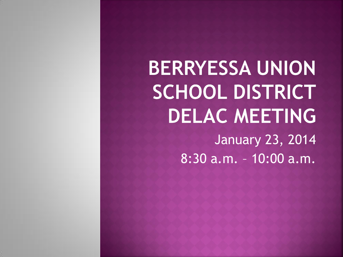**BERRYESSA UNION** SCHOOL DISTRICT **DELAC MEETING** January 23, 2014 8:30 a.m. – 10:00 a.m.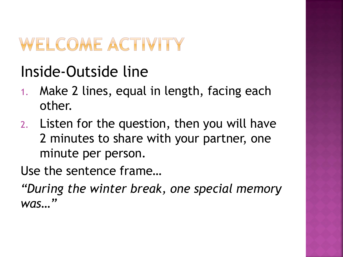### WELCOME ACTIVITY

#### Inside-Outside line

- 1. Make 2 lines, equal in length, facing each other.
- 2. Listen for the question, then you will have 2 minutes to share with your partner, one minute per person.

Use the sentence frame…

*"During the winter break, one special memory was…"*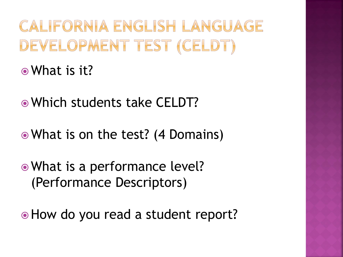CALIFORNIA ENGLISH LANGUAGE DEVELOPMENT TEST (CELDT) What is it?

Which students take CELDT?

What is on the test? (4 Domains)

 What is a performance level? (Performance Descriptors)

 $\bullet$  How do you read a student report?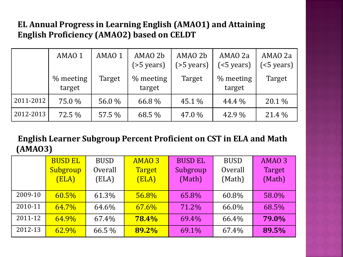#### **EL Annual Progress in Learning English (AMAO1) and Attaining English Proficiency (AMAO2) based on CELDT**

|           | AMAO 1                | AMAO 1 | AMAO 2b<br>$($ >5 years $)$ | AMAO 2b<br>$($ >5 years $)$ | AMAO 2a<br>(<5 years) | AMAO 2a<br>( |
|-----------|-----------------------|--------|-----------------------------|-----------------------------|-----------------------|--------------|
|           | $%$ meeting<br>target | Target | $%$ meeting<br>target       | Target                      | $%$ meeting<br>target | Target       |
| 2011-2012 | 75.0 %                | 56.0 % | 66.8%                       | 45.1 %                      | 44.4 %                | 20.1 %       |
| 2012-2013 | 72.5 %                | 57.5 % | 68.5 %                      | 47.0 %                      | 42.9 %                | 21.4 %       |

#### **English Learner Subgroup Percent Proficient on CST in ELA and Math (AMAO3)**

|         | <b>BUSD EL</b> | <b>BUSD</b> | AMAO <sub>3</sub> | <b>BUSD EL</b> | <b>BUSD</b> | AMAO <sub>3</sub> |
|---------|----------------|-------------|-------------------|----------------|-------------|-------------------|
|         | Subgroup       | Overall     | <b>Target</b>     | Subgroup       | Overall     | Target            |
|         | (ELA)          | (ELA)       | (ELA)             | (Math)         | (Math)      | (Math)            |
|         |                |             |                   |                |             |                   |
| 2009-10 | $60.5\%$       | 61.3%       | 56.8%             | 65.8%          | 60.8%       | 58.0%             |
| 2010-11 | 64.7%          | 64.6%       | $67.6\%$          | 71.2%          | 66.0%       | 68.5%             |
| 2011-12 | 64.9%          | 67.4%       | 78.4%             | 69.4%          | 66.4%       | 79.0%             |
| 2012-13 | 62.9%          | 66.5 %      | 89.2%             | 69.1%          | 67.4%       | 89.5%             |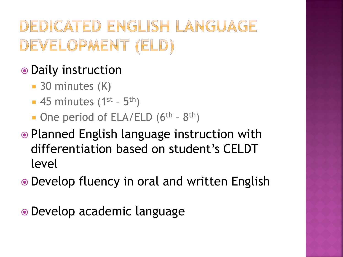### DEDICATED ENGLISH LANGUAGE DEVELOPMENT (ELD)

#### • Daily instruction

- **30 minutes (K)**
- $\blacksquare$  45 minutes (1<sup>st</sup> 5<sup>th</sup>)
- One period of ELA/ELD (6<sup>th</sup> 8<sup>th</sup>)
- Planned English language instruction with differentiation based on student's CELDT level
- Develop fluency in oral and written English

Develop academic language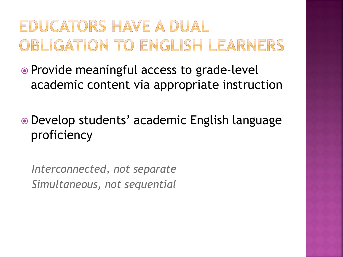### EDUCATORS HAVE A DUAL OBLIGATION TO ENGLISH LEARNERS

 Provide meaningful access to grade-level academic content via appropriate instruction

 Develop students' academic English language proficiency

*Interconnected, not separate Simultaneous, not sequential*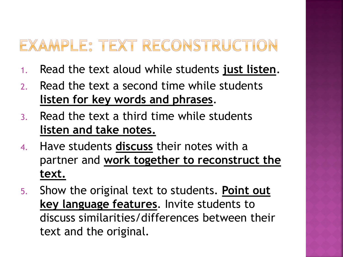#### EXAMPLE: TEXT RECONSTRUCTION

- 1. Read the text aloud while students **just listen**.
- 2. Read the text a second time while students **listen for key words and phrases**.
- 3. Read the text a third time while students **listen and take notes.**
- 4. Have students **discuss** their notes with a partner and **work together to reconstruct the text.**
- 5. Show the original text to students. **Point out key language features**. Invite students to discuss similarities/differences between their text and the original.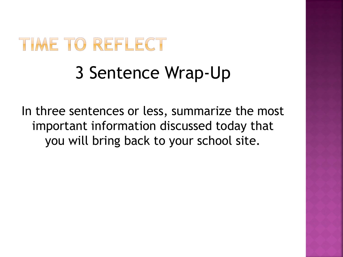# TIME TO REFLECT

## 3 Sentence Wrap-Up

In three sentences or less, summarize the most important information discussed today that you will bring back to your school site.